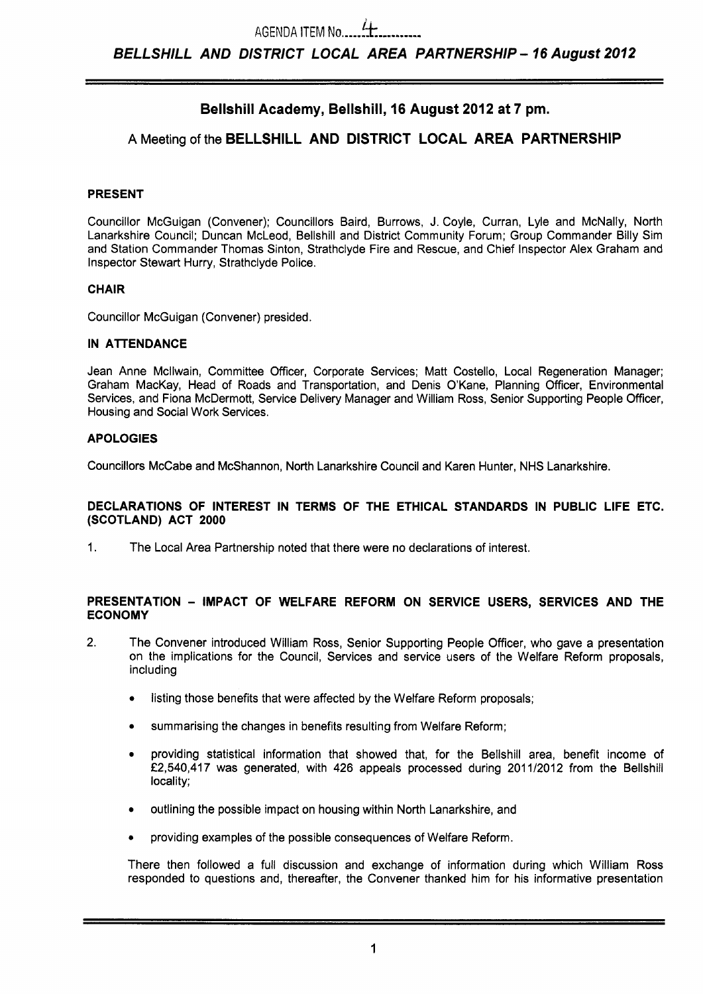# **Bellshill Academy, Bellshill, 16 August 2012 at 7 pm.**

# **A** Meeting of the **BELLSHILL AND DISTRICT LOCAL AREA PARTNERSHIP**

#### **PRESENT**

Councillor McGuigan (Convener); Councillors Baird, Burrows, **J.** Coyle, Curran, Lyle and McNally, North Lanarkshire Council; Duncan McLeod, Bellshill and District Community Forum; Group Commander Billy Sim and Station Commander Thomas Sinton, Strathclyde Fire and Rescue, and Chief Inspector Alex Graham and Inspector Stewart Hurry, Strathclyde Police.

#### **CHAIR**

Councillor McGuigan (Convener) presided.

#### **IN ATTENDANCE**

Jean Anne Mcllwain, Committee Officer, Corporate Services; Matt Costello, Local Regeneration Manager; Graham MacKay, Head of Roads and Transportation, and Denis O'Kane, Planning Officer, Environmental Services, and Fiona McDermott, Service Delivery Manager and William Ross, Senior Supporting People Officer, Housing and Social Work Services.

### **APOLOGIES**

Councillors McCabe and McShannon, North Lanarkshire Council and Karen Hunter, NHS Lanarkshire.

#### **DECLARATIONS OF INTEREST IN TERMS OF THE ETHICAL STANDARDS IN PUBLIC LIFE ETC. (SCOTLAND) ACT 2000**

**1.** The Local Area Partnership noted that there were no declarations of interest.

#### **PRESENTATION** - **IMPACT OF WELFARE REFORM ON SERVICE USERS, SERVICES AND THE ECONOMY**

- **2.** The Convener introduced William Ross, Senior Supporting People Officer, who gave a presentation on the implications for the Council, Services and service users of the Welfare Reform proposals, including
	- *0* listing those benefits that were affected by the Welfare Reform proposals;
	- summarising the changes in benefits resulting from Welfare Reform;
	- *<sup>0</sup>*providing statistical information that showed that, for the Bellshill area, benefit income of **f2,540,417** was generated, with **426** appeals processed during **201 1/2012** from the Bellshill locality;
	- *0* outlining the possible impact on housing within North Lanarkshire, and
	- providing examples of the possible consequences of Welfare Reform.

There then followed a full discussion and exchange of information during which William Ross responded to questions and, thereafter, the Convener thanked him for his informative presentation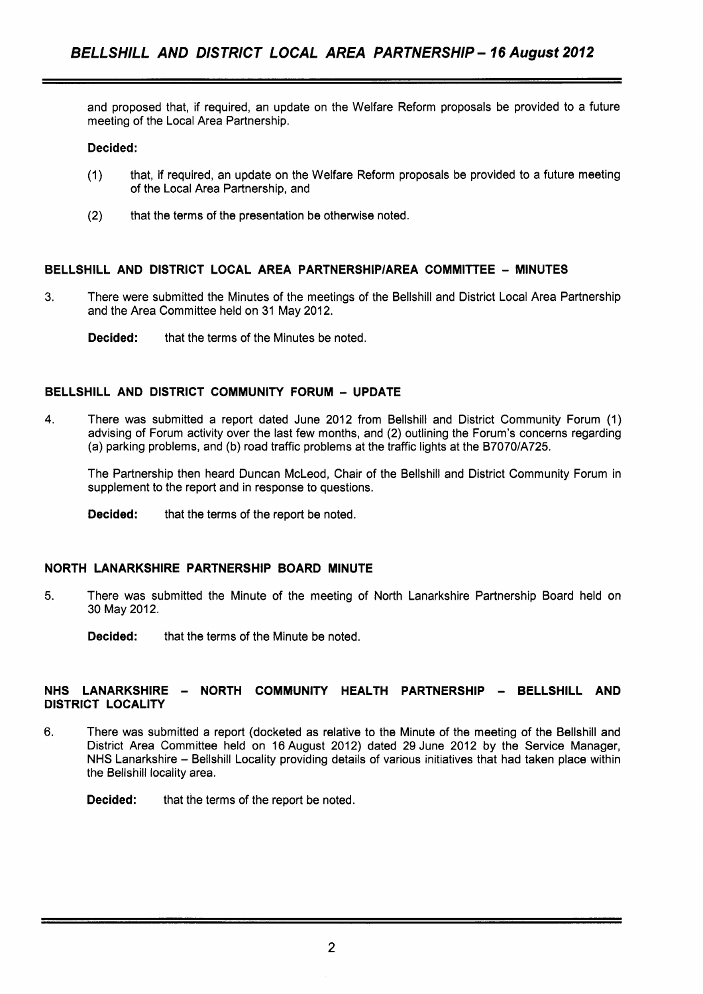and proposed that, if required, an update on the Welfare Reform proposals be provided to a future meeting of the Local Area Partnership.

#### **Decided:**

- (1) that, if required, an update on the Welfare Reform proposals be provided to a future meeting of the Local Area Partnership, and
- (2) that the terms of the presentation be otherwise noted.

#### **BELLSHILL AND DISTRICT LOCAL AREA PARTNERSHlPlAREA COMMITTEE** - **MINUTES**

- **3.** There were submitted the Minutes of the meetings of the Bellshill and District Local Area Partnership and the Area Committee held on 31 May 2012.
	- **Decided:** that the terms of the Minutes be noted.

#### **BELLSHILL AND DISTRICT COMMUNITY FORUM** - **UPDATE**

**4.** There was submitted a report dated June 2012 from Bellshill and District Community Forum (1) advising of Forum activity over the last few months, and (2) outlining the Forum's concerns regarding (a) parking problems, and (b) road traffic problems at the traffic lights at the B7070/A725.

The Partnership then heard Duncan McLeod, Chair of the Bellshill and District Community Forum in supplement to the report and in response to questions.

**Decided:** that the terms of the report be noted.

#### **NORTH LANARKSHIRE PARTNERSHIP BOARD MINUTE**

- 5. There was submitted the Minute of the meeting of North Lanarkshire Partnership Board held on 30 May 2012.
	- **Decided:** that the terms of the Minute be noted.

#### **NHS LANARKSHIRE** - **NORTH COMMUNITY HEALTH PARTNERSHIP** - **BELLSHILL AND DISTRICT LOCALITY**

- **6.** There was submitted a report (docketed as relative to the Minute of the meeting of the Bellshill and District Area Committee held on 16 August 2012) dated 29 June 2012 by the Service Manager, NHS Lanarkshire - Bellshill Locality providing details of various initiatives that had taken place within the Bellshill locality area.
	- **Decided:** that the terms of the report be noted.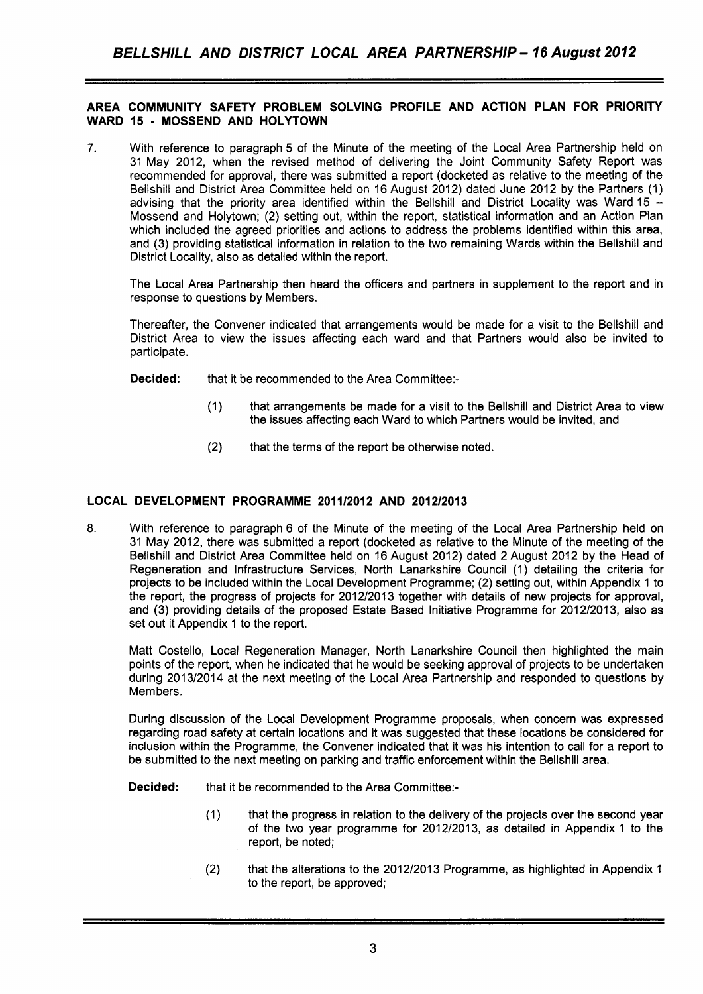#### **AREA COMMUNITY SAFETY PROBLEM SOLVING PROFILE AND ACTION PLAN FOR PRIORITY WARD 15** - **MOSSEND AND HOLYTOWN**

**7.** With reference to paragraph 5 of the Minute of the meeting of the Local Area Partnership held on 31 May 2012, when the revised method of delivering the Joint Community Safety Report was recommended for approval, there was submitted a report (docketed as relative to the meeting of the Bellshill and District Area Committee held on 16 August 2012) dated June 2012 by the Partners (1) advising that the priority area identified within the Bellshill and District Locality was Ward 15  $-$ Mossend and Holytown; (2) setting out, within the report, statistical information and an Action Plan which included the agreed priorities and actions to address the problems identified within this area, and (3) providing statistical information in relation to the two remaining Wards within the Bellshill and District Locality, also as detailed within the report.

The Local Area Partnership then heard the officers and partners in supplement to the report and in response to questions by Members.

Thereafter, the Convener indicated that arrangements would be made for a visit to the Bellshill and District Area to view the issues affecting each ward and that Partners would also be invited to participate.

**Decided:** that it be recommended to the Area Committee:-

- (1) that arrangements be made for a visit to the Bellshill and District Area to view the issues affecting each Ward to which Partners would be invited, and
- (2) that the terms of the report be otherwise noted.

#### **LOCAL DEVELOPMENT PROGRAMME 201112012 AND 2012/2013**

**8.** With reference to paragraph 6 of the Minute of the meeting of the Local Area Partnership held on 31 May 2012, there was submitted a report (docketed as relative to the Minute of the meeting of the Bellshill and District Area Committee held on 16 August 2012) dated 2 August 2012 by the Head of Regeneration and Infrastructure Services, North Lanarkshire Council (1) detailing the criteria for projects to be included within the Local Development Programme; (2) setting out, within Appendix 1 to the report, the progress of projects for 2012/2013 together with details of new projects for approval, and (3) providing details of the proposed Estate Based Initiative Programme for 2012/2013, also as set out it Appendix 1 to the report.

Matt Costello, Local Regeneration Manager, North Lanarkshire Council then highlighted the main points of the report, when he indicated that he would be seeking approval of projects to be undertaken during 2013/2014 at the next meeting of the Local Area Partnership and responded to questions by Members.

During discussion of the Local Development Programme proposals, when concern was expressed regarding road safety at certain locations and it was suggested that these locations be considered for inclusion within the Programme, the Convener indicated that it was his intention to call for a report to be submitted to the next meeting on parking and traffic enforcement within the Bellshill area.

**Decided:** that it be recommended to the Area Committee:-

- (1) that the progress in relation to the delivery of the projects over the second year of the two year programme for 2012/2013, as detailed in Appendix 1 to the report, be noted;
- **(2)** that the alterations to the 2012/2013 Programme, as highlighted in Appendix 1 to the report, be approved;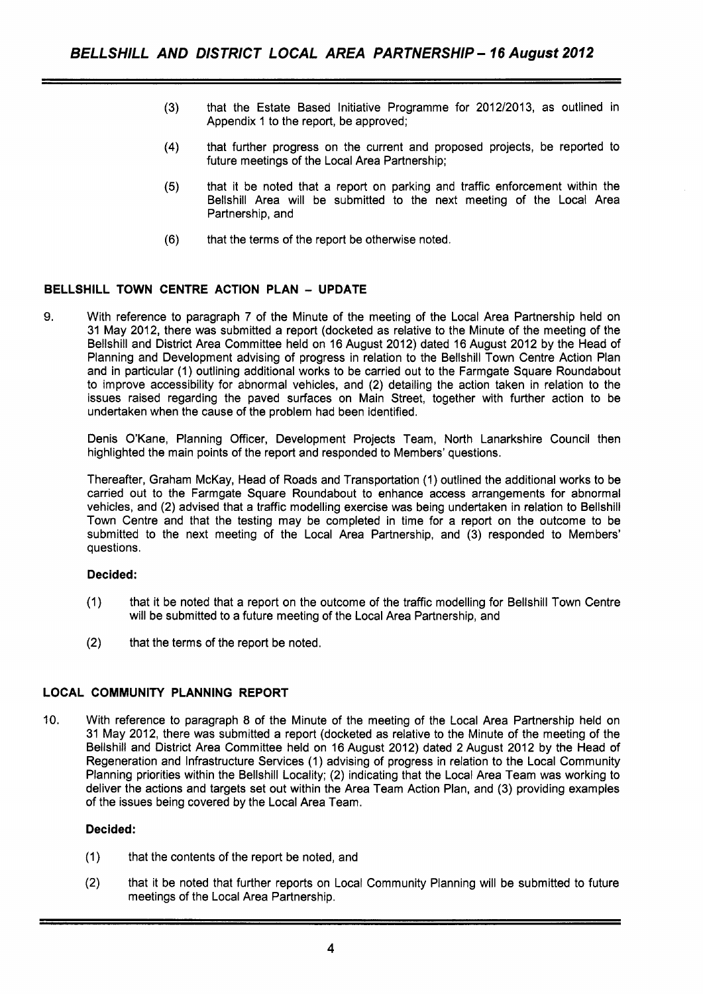- (3) that the Estate Based Initiative Programme for 2012/2013, as outlined in Appendix 1 to the report, be approved;
- **(4)**  that further progress on the current and proposed projects, be reported to future meetings of the Local Area Partnership;
- (5) that it be noted that a report on parking and traffic enforcement within the Bellshill Area will be submitted to the next meeting of the Local Area Partnership, and
- (6) that the terms of the report be otherwise noted.

### **BELLSHILL TOWN CENTRE ACTION PLAN** - **UPDATE**

**9.** With reference to paragraph 7 of the Minute of the meeting of the Local Area Partnership held on 31 May 2012, there was submitted a report (docketed as relative to the Minute of the meeting of the Bellshill and District Area Committee held on 16 August 2012) dated 16 August 2012 by the Head of Planning and Development advising of progress in relation to the Bellshill Town Centre Action Plan and in particular (1) outlining additional works to be carried out to the Farmgate Square Roundabout to improve accessibility for abnormal vehicles, and (2) detailing the action taken in relation to the issues raised regarding the paved surfaces on Main Street, together with further action to be undertaken when the cause of the problem had been identified.

Denis O'Kane, Planning Officer, Development Projects Team, North Lanarkshire Council then highlighted the main points of the report and responded to Members' questions.

Thereafter, Graham McKay, Head of Roads and Transportation (1) outlined the additional works to be carried out to the Farmgate Square Roundabout to enhance access arrangements for abnormal vehicles, and (2) advised that a traffic modelling exercise was being undertaken in relation to Bellshill Town Centre and that the testing may be completed in time for a report on the outcome to be submitted to the next meeting of the Local Area Partnership, and (3) responded to Members' questions.

#### **Decided:**

- (1) that it be noted that a report on the outcome of the traffic modelling for Bellshill Town Centre will be submitted to a future meeting of the Local Area Partnership, and
- (2) that the terms of the report be noted.

#### **LOCAL COMMUNITY PLANNING REPORT**

10. With reference to paragraph 8 of the Minute of the meeting of the Local Area Partnership held on 31 May 2012, there was submitted a report (docketed as relative to the Minute of the meeting of the Bellshill and District Area Committee held on 16 August 2012) dated 2 August 2012 by the Head of Regeneration and Infrastructure Services (1) advising of progress in relation to the Local Community Planning priorities within the Bellshill Locality; (2) indicating that the Local Area Team was working to deliver the actions and targets set out within the Area Team Action Plan, and (3) providing examples of the issues being covered by the Local Area Team.

#### **Decided:**

- (1) that the contents of the report be noted, and
- **(2)** that it be noted that further reports on Local Community Planning will be submitted to future meetings of the Local Area Partnership.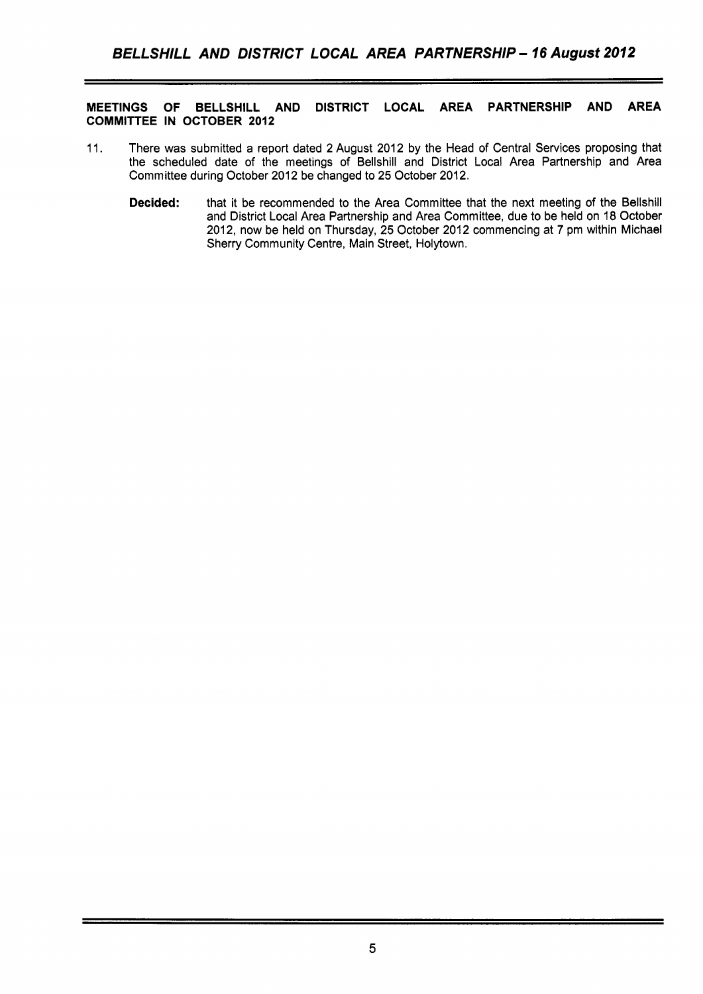#### **MEETINGS OF BELLSHILL AND DISTRICT LOCAL AREA PARTNERSHIP AND AREA COMMITTEE IN OCTOBER 2012**

- 11. There was submitted a report dated 2 August 2012 by the Head of Central Services proposing that the scheduled date of the meetings of Bellshill and District Local Area Partnership and Area Committee during October 2012 be changed to 25 October 2012.
	- **Decided:** that it be recommended to the Area Committee that the next meeting of the Bellshill and District Local Area Partnership and Area Committee, due to be held on 18 October 2012, now be held on Thursday, 25 October 2012 commencing at 7 pm within Michael Sherry Community Centre, Main Street, Holytown.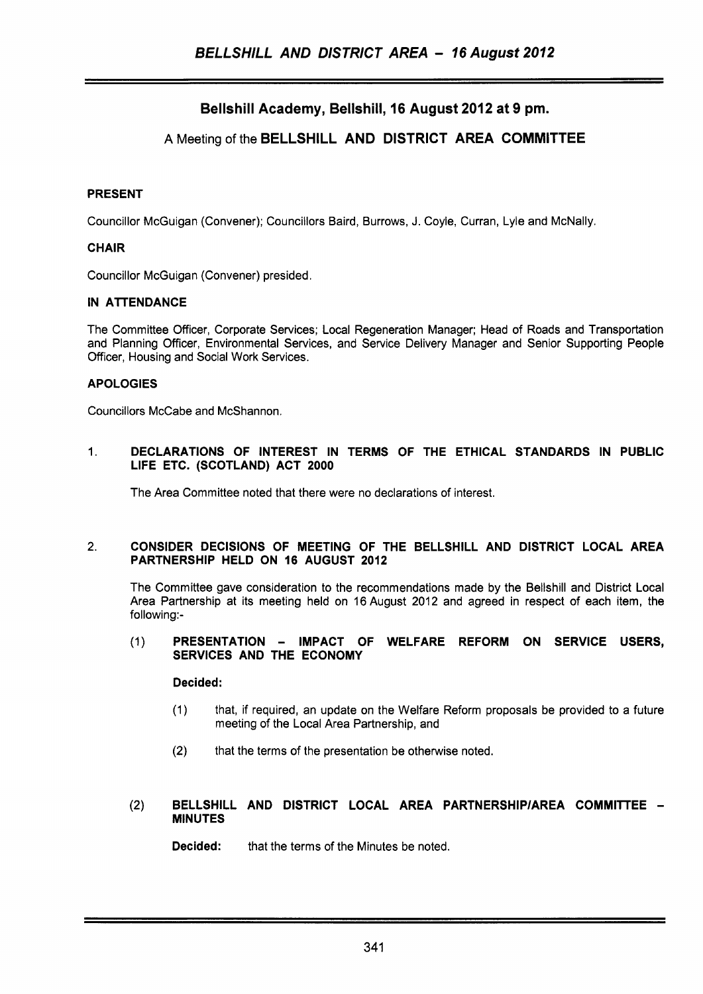# Bellshill Academy, Bellshill, 16 August 2012 at 9 pm.

## **A** Meeting of the BELLSHILL AND DISTRICT AREA COMMITTEE

#### PRESENT

Councillor McGuigan (Convener); Councillors Baird, Burrows, J. Coyle, Curran, Lyle and McNally.

#### **CHAIR**

Councillor McGuigan (Convener) presided.

#### IN ATTENDANCE

The Committee Officer, Corporate Services; Local Regeneration Manager; Head of Roads and Transportation and Planning Officer, Environmental Services, and Service Delivery Manager and Senior Supporting People Officer, Housing and Social Work Services.

#### APOLOGIES

Councillors McCabe and McShannon.

1. DECLARATIONS OF INTEREST IN TERMS OF THE ETHICAL STANDARDS IN PUBLIC LIFE ETC. (SCOTLAND) ACT 2000

The Area Committee noted that there were no declarations of interest.

#### 2. CONSIDER DECISIONS OF MEETING OF THE BELLSHILL AND DISTRICT LOCAL AREA PARTNERSHIP HELD ON 16 AUGUST 2012

The Committee gave consideration to the recommendations made by the Bellshill and District Local Area Partnership at its meeting held on **16** August 2012 and agreed in respect of each item, the following:-

#### (1) PRESENTATION - IMPACT OF WELFARE REFORM ON SERVICE USERS, SERVICES AND THE ECONOMY

#### Decided:

- (1) that, if required, an update on the Welfare Reform proposals be provided to a future meeting of the Local Area Partnership, and
- **(2)** that the terms of the presentation be otherwise noted.

#### (2) BELLSHILL AND DISTRICT LOCAL AREA PARTNERSHIP/AREA COMMITTEE -MINUTES

Decided: that the terms of the Minutes be noted.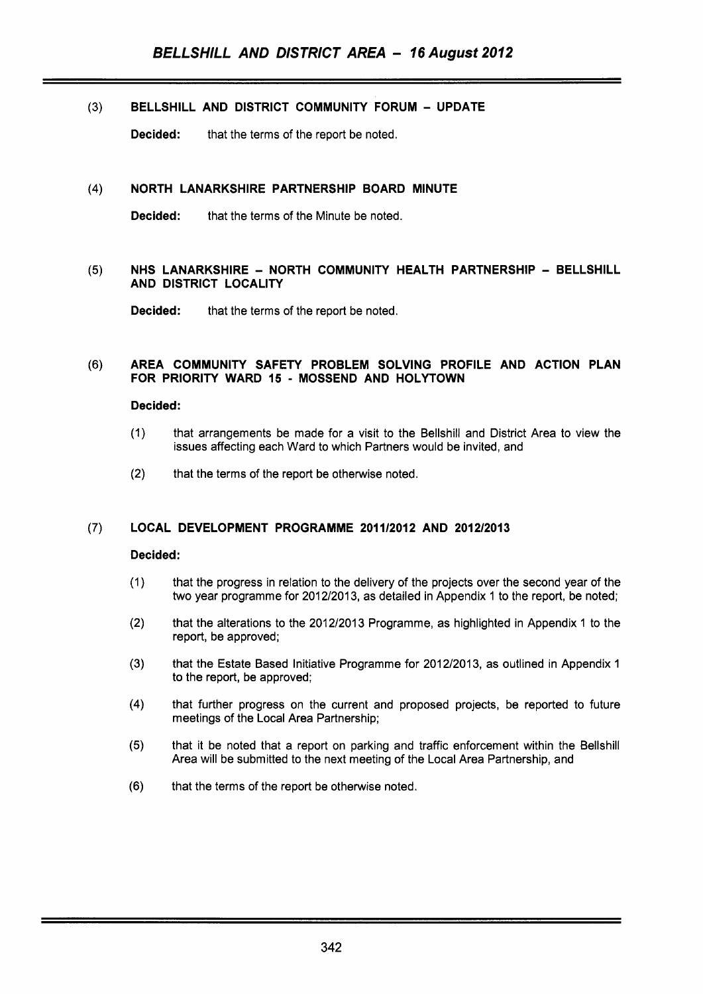## **(3) BELLSHILL AND DISTRICT COMMUNITY FORUM** - **UPDATE**

**Decided:** that the terms of the report be noted.

#### **NORTH LANARKSHIRE PARTNERSHIP BOARD MINUTE**   $(4)$

**Decided:** that the terms of the Minute be noted.

#### **NHS LANARKSHIRE** - **NORTH COMMUNITY HEALTH PARTNERSHIP** - **BELLSHILL**   $(5)$ **AND DISTRICT LOCALITY**

**Decided:** that the terms of the report be noted.

#### **AREA COMMUNITY SAFETY PROBLEM SOLVING PROFILE AND ACTION PLAN**   $(6)$ **FOR PRIORITY WARD 15** - **MOSSEND AND HOLYTOWN**

#### **Decided:**

- (1) that arrangements be made for a visit to the Bellshill and District Area to view the issues affecting each Ward to which Partners would be invited, and
- (2) that the terms of the report be otherwise noted.

#### $(7)$ **LOCAL DEVELOPMENT PROGRAMME 201 112012 AND 2012/2013**

#### **Decided:**

- $(1)$ that the progress in relation to the delivery of the projects over the second year of the two year programme for 2012/2013, as detailed in Appendix 1 to the report, be noted;
- that the alterations to the 2012/2013 Programme, as highlighted in Appendix 1 to the  $(2)$ report, be approved;
- $(3)$ that the Estate Based Initiative Programme for 2012/2013, as outlined in Appendix 1 to the report, be approved;
- $(4)$ that further progress on the current and proposed projects, be reported to future meetings of the Local Area Partnership;
- that it be noted that a report on parking and traffic enforcement within the Bellshill  $(5)$ Area will be submitted to the next meeting of the Local Area Partnership, and
- $(6)$ that the terms of the report be otherwise noted.